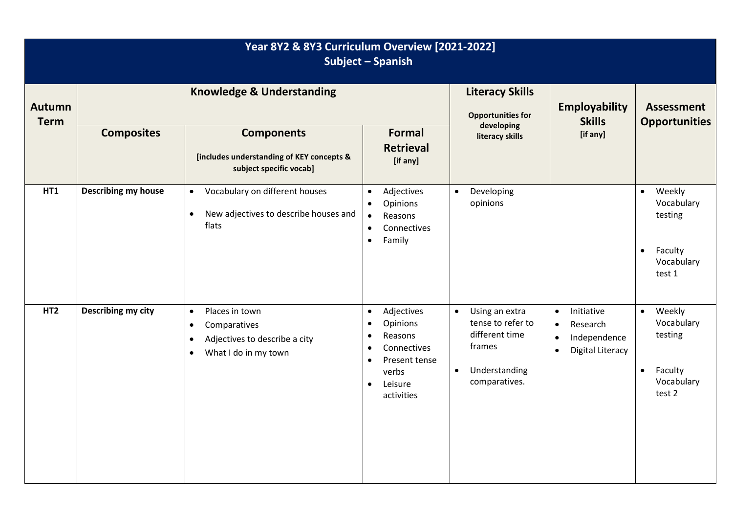| Year 8Y2 & 8Y3 Curriculum Overview [2021-2022]<br>Subject - Spanish |                                      |                                                                                                                                             |                                                                                                                                                                                   |                                                                                                                             |                                                                                                                       |                                                                                              |
|---------------------------------------------------------------------|--------------------------------------|---------------------------------------------------------------------------------------------------------------------------------------------|-----------------------------------------------------------------------------------------------------------------------------------------------------------------------------------|-----------------------------------------------------------------------------------------------------------------------------|-----------------------------------------------------------------------------------------------------------------------|----------------------------------------------------------------------------------------------|
| <b>Autumn</b><br><b>Term</b>                                        | <b>Knowledge &amp; Understanding</b> |                                                                                                                                             |                                                                                                                                                                                   | <b>Literacy Skills</b><br><b>Opportunities for</b>                                                                          | <b>Employability</b><br><b>Skills</b>                                                                                 | <b>Assessment</b><br><b>Opportunities</b>                                                    |
|                                                                     | <b>Composites</b>                    | <b>Components</b><br>[includes understanding of KEY concepts &<br>subject specific vocab]                                                   | <b>Formal</b><br><b>Retrieval</b><br>[if any]                                                                                                                                     | developing<br>literacy skills                                                                                               | [if any]                                                                                                              |                                                                                              |
| HT1                                                                 | <b>Describing my house</b>           | Vocabulary on different houses<br>$\bullet$<br>New adjectives to describe houses and<br>$\bullet$<br>flats                                  | Adjectives<br>$\bullet$<br>Opinions<br>$\bullet$<br>Reasons<br>$\bullet$<br>Connectives<br>$\bullet$<br>Family<br>$\bullet$                                                       | Developing<br>$\bullet$<br>opinions                                                                                         |                                                                                                                       | Weekly<br>$\bullet$<br>Vocabulary<br>testing<br>Faculty<br>$\bullet$<br>Vocabulary<br>test 1 |
| HT <sub>2</sub>                                                     | Describing my city                   | Places in town<br>$\bullet$<br>Comparatives<br>$\bullet$<br>Adjectives to describe a city<br>$\bullet$<br>What I do in my town<br>$\bullet$ | Adjectives<br>$\bullet$<br>Opinions<br>$\bullet$<br>Reasons<br>$\bullet$<br>Connectives<br>$\bullet$<br>Present tense<br>$\bullet$<br>verbs<br>Leisure<br>$\bullet$<br>activities | Using an extra<br>$\bullet$<br>tense to refer to<br>different time<br>frames<br>Understanding<br>$\bullet$<br>comparatives. | Initiative<br>$\bullet$<br>Research<br>$\bullet$<br>Independence<br>$\bullet$<br><b>Digital Literacy</b><br>$\bullet$ | Weekly<br>$\bullet$<br>Vocabulary<br>testing<br>Faculty<br>$\bullet$<br>Vocabulary<br>test 2 |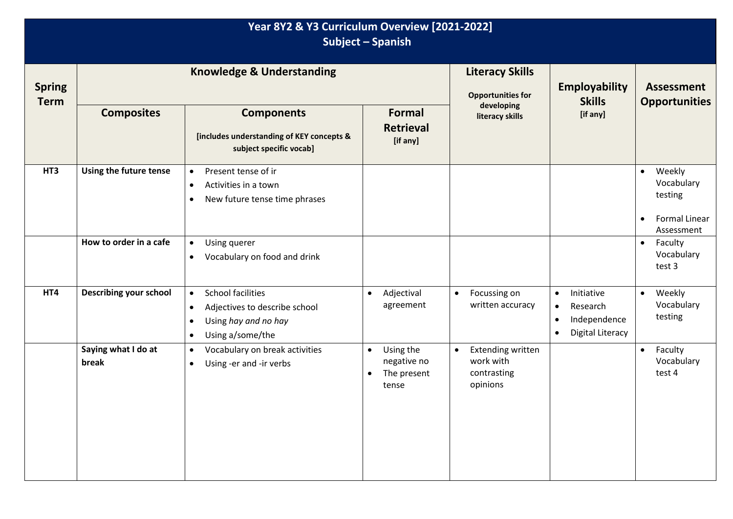| Year 8Y2 & Y3 Curriculum Overview [2021-2022]<br>Subject - Spanish |                                      |                                                                                                                                                           |                                                                            |                                                                               |                                                                                                                       |                                                                                          |
|--------------------------------------------------------------------|--------------------------------------|-----------------------------------------------------------------------------------------------------------------------------------------------------------|----------------------------------------------------------------------------|-------------------------------------------------------------------------------|-----------------------------------------------------------------------------------------------------------------------|------------------------------------------------------------------------------------------|
| <b>Spring</b><br><b>Term</b>                                       | <b>Knowledge &amp; Understanding</b> |                                                                                                                                                           |                                                                            | <b>Literacy Skills</b><br><b>Opportunities for</b>                            | <b>Employability</b><br><b>Skills</b>                                                                                 | <b>Assessment</b><br><b>Opportunities</b>                                                |
|                                                                    | <b>Composites</b>                    | <b>Components</b><br>[includes understanding of KEY concepts &<br>subject specific vocab]                                                                 | Formal<br><b>Retrieval</b><br>[if any]                                     | developing<br>literacy skills                                                 | [if any]                                                                                                              |                                                                                          |
| HT3                                                                | Using the future tense               | Present tense of ir<br>$\bullet$<br>Activities in a town<br>$\bullet$<br>New future tense time phrases<br>$\bullet$                                       |                                                                            |                                                                               |                                                                                                                       | Weekly<br>$\bullet$<br>Vocabulary<br>testing<br>Formal Linear<br>$\bullet$<br>Assessment |
|                                                                    | How to order in a cafe               | Using querer<br>$\bullet$<br>Vocabulary on food and drink<br>$\bullet$                                                                                    |                                                                            |                                                                               |                                                                                                                       | Faculty<br>$\bullet$<br>Vocabulary<br>test 3                                             |
| HT4                                                                | <b>Describing your school</b>        | <b>School facilities</b><br>$\bullet$<br>Adjectives to describe school<br>$\bullet$<br>Using hay and no hay<br>$\bullet$<br>Using a/some/the<br>$\bullet$ | Adjectival<br>$\bullet$<br>agreement                                       | Focussing on<br>$\bullet$<br>written accuracy                                 | Initiative<br>$\bullet$<br>Research<br>$\bullet$<br>Independence<br>$\bullet$<br><b>Digital Literacy</b><br>$\bullet$ | Weekly<br>$\bullet$<br>Vocabulary<br>testing                                             |
|                                                                    | Saying what I do at<br>break         | Vocabulary on break activities<br>$\bullet$<br>Using -er and -ir verbs<br>$\bullet$                                                                       | Using the<br>$\bullet$<br>negative no<br>The present<br>$\bullet$<br>tense | <b>Extending written</b><br>$\bullet$<br>work with<br>contrasting<br>opinions |                                                                                                                       | Faculty<br>$\bullet$<br>Vocabulary<br>test 4                                             |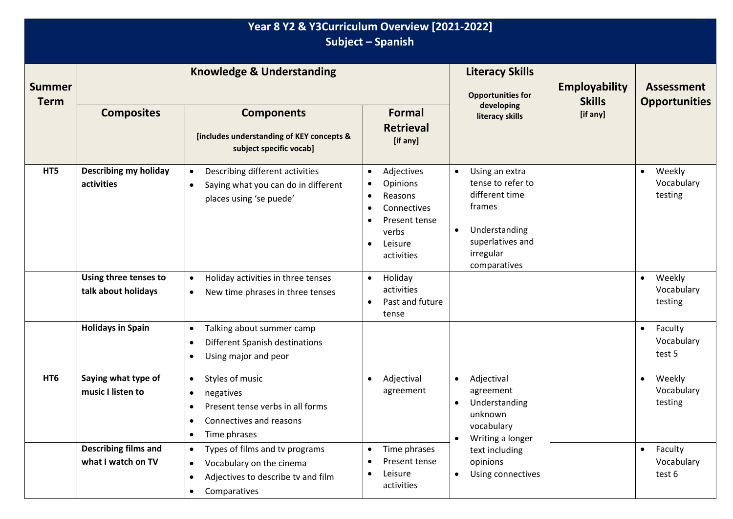| Year 8 Y2 & Y3Curriculum Overview [2021-2022]<br>Subject - Spanish |                                                   |                                                                                                                                                         |                                                                                                                                    |                                                                                                                                                             |                                       |                                              |
|--------------------------------------------------------------------|---------------------------------------------------|---------------------------------------------------------------------------------------------------------------------------------------------------------|------------------------------------------------------------------------------------------------------------------------------------|-------------------------------------------------------------------------------------------------------------------------------------------------------------|---------------------------------------|----------------------------------------------|
| <b>Summer</b><br><b>Term</b>                                       | <b>Knowledge &amp; Understanding</b>              |                                                                                                                                                         |                                                                                                                                    | <b>Literacy Skills</b><br><b>Opportunities for</b>                                                                                                          | <b>Employability</b><br><b>Skills</b> | <b>Assessment</b><br><b>Opportunities</b>    |
|                                                                    | <b>Composites</b>                                 | <b>Components</b><br>[includes understanding of KEY concepts &<br>subject specific vocab]                                                               | <b>Formal</b><br><b>Retrieval</b><br>[if any]                                                                                      | developing<br>literacy skills                                                                                                                               | [if any]                              |                                              |
| HT5                                                                | <b>Describing my holiday</b><br>activities        | Describing different activities<br>$\bullet$<br>Saying what you can do in different<br>$\bullet$<br>places using 'se puede'                             | Adjectives<br>$\bullet$<br>Opinions<br>Reasons<br>٠<br>Connectives<br>Present tense<br>verbs<br>Leisure<br>$\bullet$<br>activities | Using an extra<br>$\bullet$<br>tense to refer to<br>different time<br>frames<br>Understanding<br>$\bullet$<br>superlatives and<br>irregular<br>comparatives |                                       | Weekly<br>$\bullet$<br>Vocabulary<br>testing |
|                                                                    | Using three tenses to<br>talk about holidays      | Holiday activities in three tenses<br>$\bullet$<br>New time phrases in three tenses<br>$\bullet$                                                        | Holiday<br>$\bullet$<br>activities<br>Past and future<br>tense                                                                     |                                                                                                                                                             |                                       | Weekly<br>$\bullet$<br>Vocabulary<br>testing |
|                                                                    | <b>Holidays in Spain</b>                          | Talking about summer camp<br>$\bullet$<br><b>Different Spanish destinations</b><br>$\bullet$<br>Using major and peor                                    |                                                                                                                                    |                                                                                                                                                             |                                       | Faculty<br>$\bullet$<br>Vocabulary<br>test 5 |
| HT6                                                                | Saying what type of<br>music I listen to          | Styles of music<br>$\bullet$<br>negatives<br>Present tense verbs in all forms<br>Connectives and reasons<br>$\bullet$<br>Time phrases<br>$\bullet$      | Adjectival<br>$\bullet$<br>agreement                                                                                               | Adjectival<br>$\bullet$<br>agreement<br>Understanding<br>$\bullet$<br>unknown<br>vocabulary<br>Writing a longer<br>$\bullet$                                |                                       | Weekly<br>$\bullet$<br>Vocabulary<br>testing |
|                                                                    | <b>Describing films and</b><br>what I watch on TV | Types of films and tv programs<br>$\bullet$<br>Vocabulary on the cinema<br>$\bullet$<br>Adjectives to describe tv and film<br>$\bullet$<br>Comparatives | Time phrases<br>$\bullet$<br>Present tense<br>Leisure<br>activities                                                                | text including<br>opinions<br>Using connectives<br>$\bullet$                                                                                                |                                       | Faculty<br>$\bullet$<br>Vocabulary<br>test 6 |